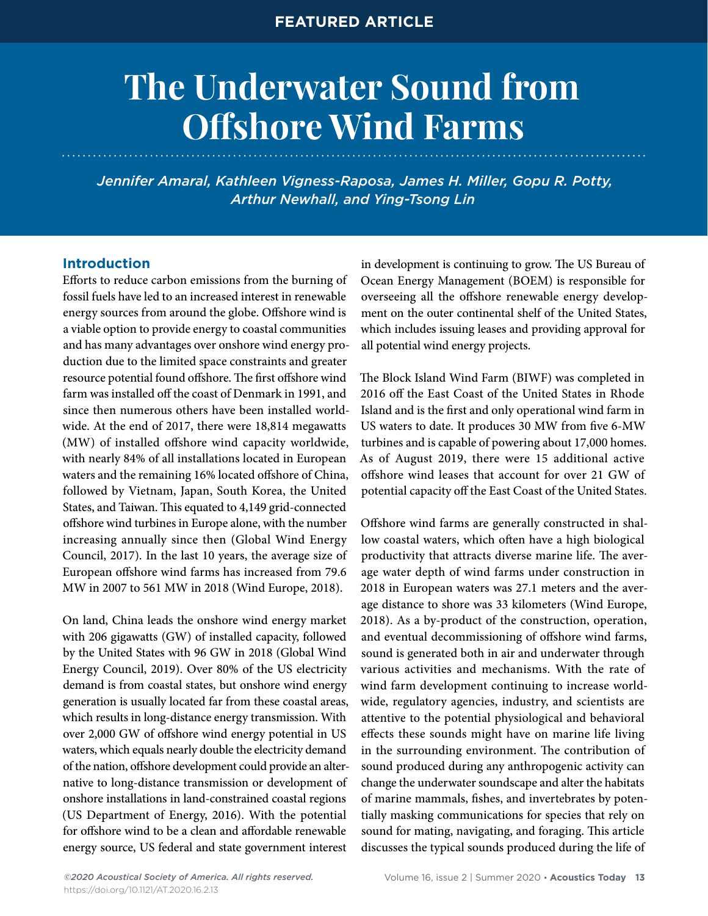# **The Underwater Sound from Offshore Wind Farms**

*Jennifer Amaral, Kathleen Vigness-Raposa, James H. Miller, Gopu R. Potty, Arthur Newhall, and Ying-Tsong Lin*

## **Introduction**

Efforts to reduce carbon emissions from the burning of fossil fuels have led to an increased interest in renewable energy sources from around the globe. Offshore wind is a viable option to provide energy to coastal communities and has many advantages over onshore wind energy production due to the limited space constraints and greater resource potential found offshore. The first offshore wind farm was installed off the coast of Denmark in 1991, and since then numerous others have been installed worldwide. At the end of 2017, there were 18,814 megawatts (MW) of installed offshore wind capacity worldwide, with nearly 84% of all installations located in European waters and the remaining 16% located offshore of China, followed by Vietnam, Japan, South Korea, the United States, and Taiwan. This equated to 4,149 grid-connected offshore wind turbines in Europe alone, with the number increasing annually since then (Global Wind Energy Council, 2017). In the last 10 years, the average size of European offshore wind farms has increased from 79.6 MW in 2007 to 561 MW in 2018 (Wind Europe, 2018).

On land, China leads the onshore wind energy market with 206 gigawatts (GW) of installed capacity, followed by the United States with 96 GW in 2018 (Global Wind Energy Council, 2019). Over 80% of the US electricity demand is from coastal states, but onshore wind energy generation is usually located far from these coastal areas, which results in long-distance energy transmission. With over 2,000 GW of offshore wind energy potential in US waters, which equals nearly double the electricity demand of the nation, offshore development could provide an alternative to long-distance transmission or development of onshore installations in land-constrained coastal regions (US Department of Energy, 2016). With the potential for offshore wind to be a clean and affordable renewable energy source, US federal and state government interest

in development is continuing to grow. The US Bureau of Ocean Energy Management (BOEM) is responsible for overseeing all the offshore renewable energy development on the outer continental shelf of the United States, which includes issuing leases and providing approval for all potential wind energy projects.

The Block Island Wind Farm (BIWF) was completed in 2016 off the East Coast of the United States in Rhode Island and is the first and only operational wind farm in US waters to date. It produces 30 MW from five 6-MW turbines and is capable of powering about 17,000 homes. As of August 2019, there were 15 additional active offshore wind leases that account for over 21 GW of potential capacity off the East Coast of the United States.

Offshore wind farms are generally constructed in shallow coastal waters, which often have a high biological productivity that attracts diverse marine life. The average water depth of wind farms under construction in 2018 in European waters was 27.1 meters and the average distance to shore was 33 kilometers (Wind Europe, 2018). As a by-product of the construction, operation, and eventual decommissioning of offshore wind farms, sound is generated both in air and underwater through various activities and mechanisms. With the rate of wind farm development continuing to increase worldwide, regulatory agencies, industry, and scientists are attentive to the potential physiological and behavioral effects these sounds might have on marine life living in the surrounding environment. The contribution of sound produced during any anthropogenic activity can change the underwater soundscape and alter the habitats of marine mammals, fishes, and invertebrates by potentially masking communications for species that rely on sound for mating, navigating, and foraging. This article discusses the typical sounds produced during the life of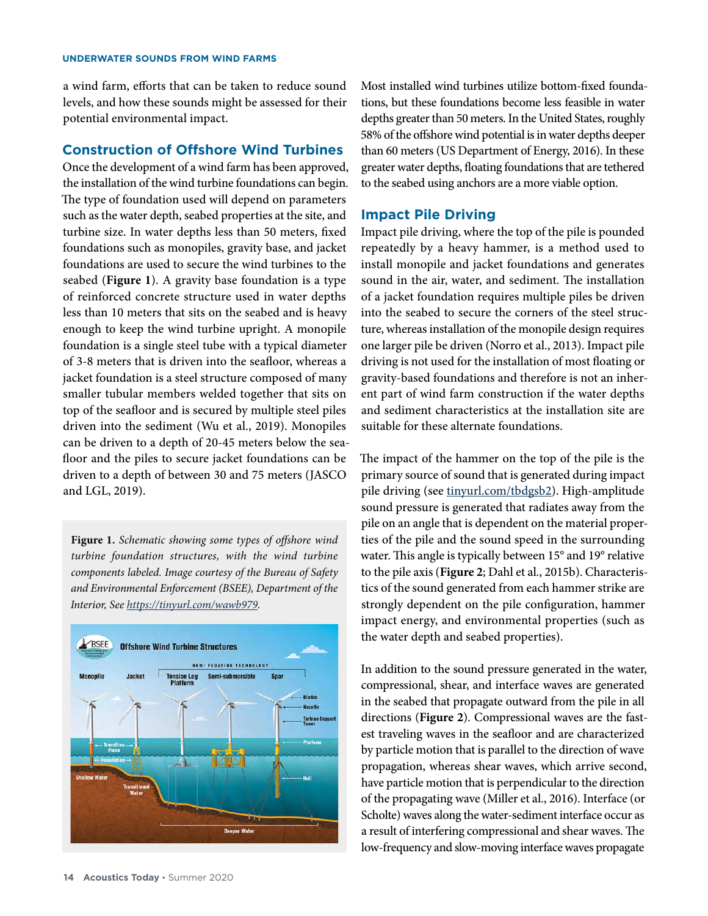a wind farm, efforts that can be taken to reduce sound levels, and how these sounds might be assessed for their potential environmental impact.

#### **Construction of Offshore Wind Turbines**

Once the development of a wind farm has been approved, the installation of the wind turbine foundations can begin. The type of foundation used will depend on parameters such as the water depth, seabed properties at the site, and turbine size. In water depths less than 50 meters, fixed foundations such as monopiles, gravity base, and jacket foundations are used to secure the wind turbines to the seabed (**Figure 1**). A gravity base foundation is a type of reinforced concrete structure used in water depths less than 10 meters that sits on the seabed and is heavy enough to keep the wind turbine upright. A monopile foundation is a single steel tube with a typical diameter of 3-8 meters that is driven into the seafloor, whereas a jacket foundation is a steel structure composed of many smaller tubular members welded together that sits on top of the seafloor and is secured by multiple steel piles driven into the sediment (Wu et al., 2019). Monopiles can be driven to a depth of 20-45 meters below the seafloor and the piles to secure jacket foundations can be driven to a depth of between 30 and 75 meters (JASCO and LGL, 2019).

**Figure 1.** *Schematic showing some types of offshore wind turbine foundation structures, with the wind turbine components labeled. Image courtesy of the Bureau of Safety and Environmental Enforcement (BSEE), Department of the Interior, See <https://tinyurl.com/wawb979>.* 



Most installed wind turbines utilize bottom-fixed foundations, but these foundations become less feasible in water depths greater than 50 meters. In the United States, roughly 58% of the offshore wind potential is in water depths deeper than 60 meters (US Department of Energy, 2016). In these greater water depths, floating foundations that are tethered to the seabed using anchors are a more viable option.

## **Impact Pile Driving**

Impact pile driving, where the top of the pile is pounded repeatedly by a heavy hammer, is a method used to install monopile and jacket foundations and generates sound in the air, water, and sediment. The installation of a jacket foundation requires multiple piles be driven into the seabed to secure the corners of the steel structure, whereas installation of the monopile design requires one larger pile be driven (Norro et al., 2013). Impact pile driving is not used for the installation of most floating or gravity-based foundations and therefore is not an inherent part of wind farm construction if the water depths and sediment characteristics at the installation site are suitable for these alternate foundations.

The impact of the hammer on the top of the pile is the primary source of sound that is generated during impact pile driving (see [tinyurl.com/tbdgsb2](http://tinyurl.com/tbdgsb2)). High-amplitude sound pressure is generated that radiates away from the pile on an angle that is dependent on the material properties of the pile and the sound speed in the surrounding water. This angle is typically between 15° and 19° relative to the pile axis (**Figure 2**; Dahl et al., 2015b). Characteristics of the sound generated from each hammer strike are strongly dependent on the pile configuration, hammer impact energy, and environmental properties (such as the water depth and seabed properties).

In addition to the sound pressure generated in the water, compressional, shear, and interface waves are generated in the seabed that propagate outward from the pile in all directions (**Figure 2**). Compressional waves are the fastest traveling waves in the seafloor and are characterized by particle motion that is parallel to the direction of wave propagation, whereas shear waves, which arrive second, have particle motion that is perpendicular to the direction of the propagating wave (Miller et al., 2016). Interface (or Scholte) waves along the water-sediment interface occur as a result of interfering compressional and shear waves. The low-frequency and slow-moving interface waves propagate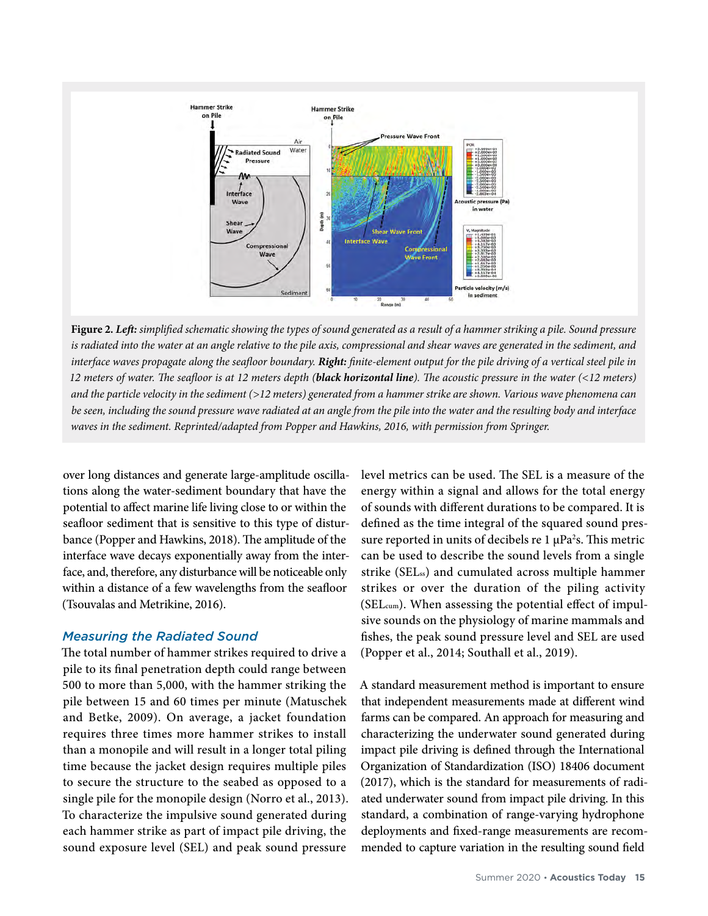

**Figure 2.** *Left: simplified schematic showing the types of sound generated as a result of a hammer striking a pile. Sound pressure is radiated into the water at an angle relative to the pile axis, compressional and shear waves are generated in the sediment, and interface waves propagate along the seafloor boundary. Right: finite-element output for the pile driving of a vertical steel pile in 12 meters of water. The seafloor is at 12 meters depth (black horizontal line). The acoustic pressure in the water (<12 meters) and the particle velocity in the sediment (>12 meters) generated from a hammer strike are shown. Various wave phenomena can be seen, including the sound pressure wave radiated at an angle from the pile into the water and the resulting body and interface waves in the sediment. Reprinted/adapted from Popper and Hawkins, 2016, with permission from Springer.*

over long distances and generate large-amplitude oscillations along the water-sediment boundary that have the potential to affect marine life living close to or within the seafloor sediment that is sensitive to this type of disturbance (Popper and Hawkins, 2018). The amplitude of the interface wave decays exponentially away from the interface, and, therefore, any disturbance will be noticeable only within a distance of a few wavelengths from the seafloor (Tsouvalas and Metrikine, 2016).

## *Measuring the Radiated Sound*

The total number of hammer strikes required to drive a pile to its final penetration depth could range between 500 to more than 5,000, with the hammer striking the pile between 15 and 60 times per minute (Matuschek and Betke, 2009). On average, a jacket foundation requires three times more hammer strikes to install than a monopile and will result in a longer total piling time because the jacket design requires multiple piles to secure the structure to the seabed as opposed to a single pile for the monopile design (Norro et al., 2013). To characterize the impulsive sound generated during each hammer strike as part of impact pile driving, the sound exposure level (SEL) and peak sound pressure

level metrics can be used. The SEL is a measure of the energy within a signal and allows for the total energy of sounds with different durations to be compared. It is defined as the time integral of the squared sound pressure reported in units of decibels re  $1 \mu Pa^2$ s. This metric can be used to describe the sound levels from a single strike (SELss) and cumulated across multiple hammer strikes or over the duration of the piling activity (SELcum). When assessing the potential effect of impulsive sounds on the physiology of marine mammals and fishes, the peak sound pressure level and SEL are used (Popper et al., 2014; Southall et al., 2019).

A standard measurement method is important to ensure that independent measurements made at different wind farms can be compared. An approach for measuring and characterizing the underwater sound generated during impact pile driving is defined through the International Organization of Standardization (ISO) 18406 document (2017), which is the standard for measurements of radiated underwater sound from impact pile driving. In this standard, a combination of range-varying hydrophone deployments and fixed-range measurements are recommended to capture variation in the resulting sound field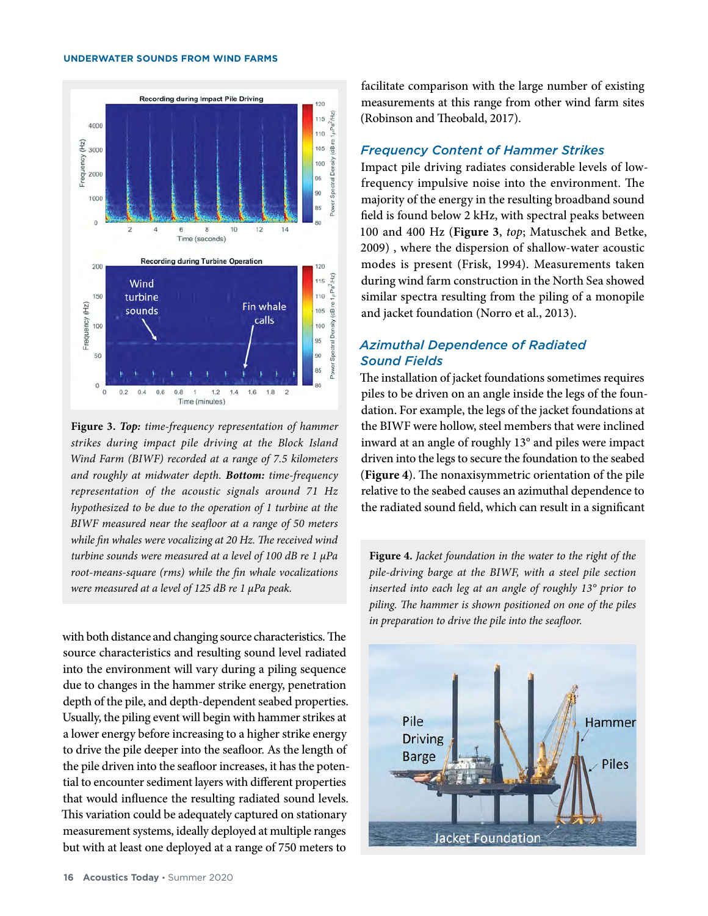



with both distance and changing source characteristics. The source characteristics and resulting sound level radiated into the environment will vary during a piling sequence due to changes in the hammer strike energy, penetration depth of the pile, and depth-dependent seabed properties. Usually, the piling event will begin with hammer strikes at a lower energy before increasing to a higher strike energy to drive the pile deeper into the seafloor. As the length of the pile driven into the seafloor increases, it has the potential to encounter sediment layers with different properties that would influence the resulting radiated sound levels. This variation could be adequately captured on stationary measurement systems, ideally deployed at multiple ranges but with at least one deployed at a range of 750 meters to

facilitate comparison with the large number of existing measurements at this range from other wind farm sites (Robinson and Theobald, 2017).

## *Frequency Content of Hammer Strikes*

Impact pile driving radiates considerable levels of lowfrequency impulsive noise into the environment. The majority of the energy in the resulting broadband sound field is found below 2 kHz, with spectral peaks between 100 and 400 Hz (**Figure 3**, *top*; Matuschek and Betke, 2009) , where the dispersion of shallow-water acoustic modes is present (Frisk, 1994). Measurements taken during wind farm construction in the North Sea showed similar spectra resulting from the piling of a monopile and jacket foundation (Norro et al., 2013).

## *Azimuthal Dependence of Radiated Sound Fields*

The installation of jacket foundations sometimes requires piles to be driven on an angle inside the legs of the foundation. For example, the legs of the jacket foundations at the BIWF were hollow, steel members that were inclined inward at an angle of roughly 13° and piles were impact driven into the legs to secure the foundation to the seabed (**Figure 4**). The nonaxisymmetric orientation of the pile relative to the seabed causes an azimuthal dependence to the radiated sound field, which can result in a significant

**Figure 4.** *Jacket foundation in the water to the right of the pile-driving barge at the BIWF, with a steel pile section inserted into each leg at an angle of roughly 13° prior to piling. The hammer is shown positioned on one of the piles in preparation to drive the pile into the seafloor.* 

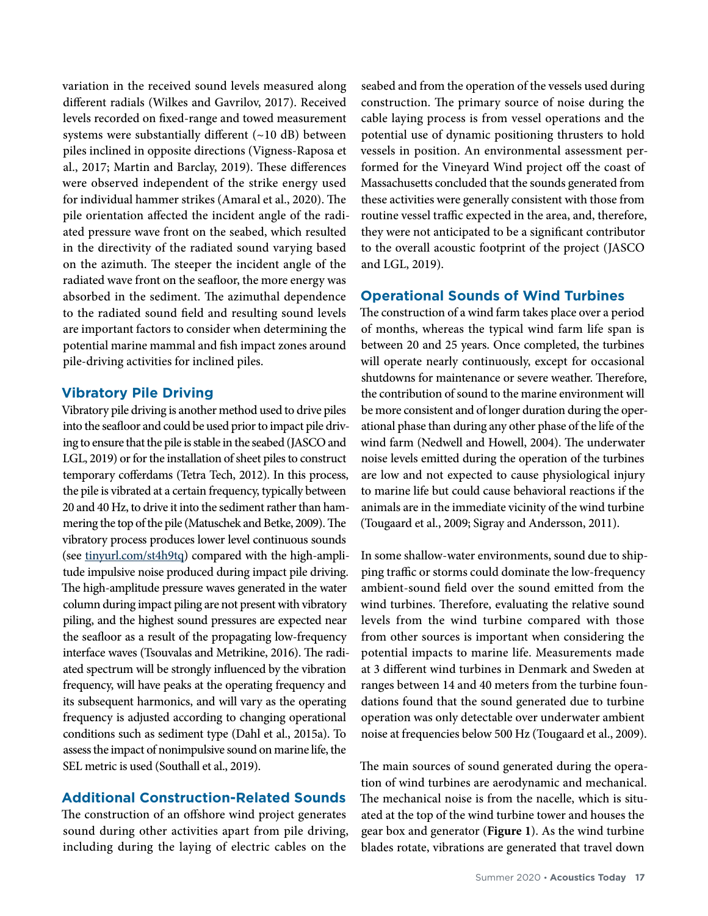variation in the received sound levels measured along different radials (Wilkes and Gavrilov, 2017). Received levels recorded on fixed-range and towed measurement systems were substantially different (~10 dB) between piles inclined in opposite directions (Vigness-Raposa et al., 2017; Martin and Barclay, 2019). These differences were observed independent of the strike energy used for individual hammer strikes (Amaral et al., 2020). The pile orientation affected the incident angle of the radiated pressure wave front on the seabed, which resulted in the directivity of the radiated sound varying based on the azimuth. The steeper the incident angle of the radiated wave front on the seafloor, the more energy was absorbed in the sediment. The azimuthal dependence to the radiated sound field and resulting sound levels are important factors to consider when determining the potential marine mammal and fish impact zones around pile-driving activities for inclined piles.

## **Vibratory Pile Driving**

Vibratory pile driving is another method used to drive piles into the seafloor and could be used prior to impact pile driving to ensure that the pile is stable in the seabed (JASCO and LGL, 2019) or for the installation of sheet piles to construct temporary cofferdams (Tetra Tech, 2012). In this process, the pile is vibrated at a certain frequency, typically between 20 and 40 Hz, to drive it into the sediment rather than hammering the top of the pile (Matuschek and Betke, 2009). The vibratory process produces lower level continuous sounds (see [tinyurl.com/st4h9tq](http://tinyurl.com/st4h9tq)) compared with the high-amplitude impulsive noise produced during impact pile driving. The high-amplitude pressure waves generated in the water column during impact piling are not present with vibratory piling, and the highest sound pressures are expected near the seafloor as a result of the propagating low-frequency interface waves (Tsouvalas and Metrikine, 2016). The radiated spectrum will be strongly influenced by the vibration frequency, will have peaks at the operating frequency and its subsequent harmonics, and will vary as the operating frequency is adjusted according to changing operational conditions such as sediment type (Dahl et al., 2015a). To assess the impact of nonimpulsive sound on marine life, the SEL metric is used (Southall et al., 2019).

## **Additional Construction-Related Sounds**

The construction of an offshore wind project generates sound during other activities apart from pile driving, including during the laying of electric cables on the

seabed and from the operation of the vessels used during construction. The primary source of noise during the cable laying process is from vessel operations and the potential use of dynamic positioning thrusters to hold vessels in position. An environmental assessment performed for the Vineyard Wind project off the coast of Massachusetts concluded that the sounds generated from these activities were generally consistent with those from routine vessel traffic expected in the area, and, therefore, they were not anticipated to be a significant contributor to the overall acoustic footprint of the project (JASCO and LGL, 2019).

## **Operational Sounds of Wind Turbines**

The construction of a wind farm takes place over a period of months, whereas the typical wind farm life span is between 20 and 25 years. Once completed, the turbines will operate nearly continuously, except for occasional shutdowns for maintenance or severe weather. Therefore, the contribution of sound to the marine environment will be more consistent and of longer duration during the operational phase than during any other phase of the life of the wind farm (Nedwell and Howell, 2004). The underwater noise levels emitted during the operation of the turbines are low and not expected to cause physiological injury to marine life but could cause behavioral reactions if the animals are in the immediate vicinity of the wind turbine (Tougaard et al., 2009; Sigray and Andersson, 2011).

In some shallow-water environments, sound due to shipping traffic or storms could dominate the low-frequency ambient-sound field over the sound emitted from the wind turbines. Therefore, evaluating the relative sound levels from the wind turbine compared with those from other sources is important when considering the potential impacts to marine life. Measurements made at 3 different wind turbines in Denmark and Sweden at ranges between 14 and 40 meters from the turbine foundations found that the sound generated due to turbine operation was only detectable over underwater ambient noise at frequencies below 500 Hz (Tougaard et al., 2009).

The main sources of sound generated during the operation of wind turbines are aerodynamic and mechanical. The mechanical noise is from the nacelle, which is situated at the top of the wind turbine tower and houses the gear box and generator (**Figure 1**). As the wind turbine blades rotate, vibrations are generated that travel down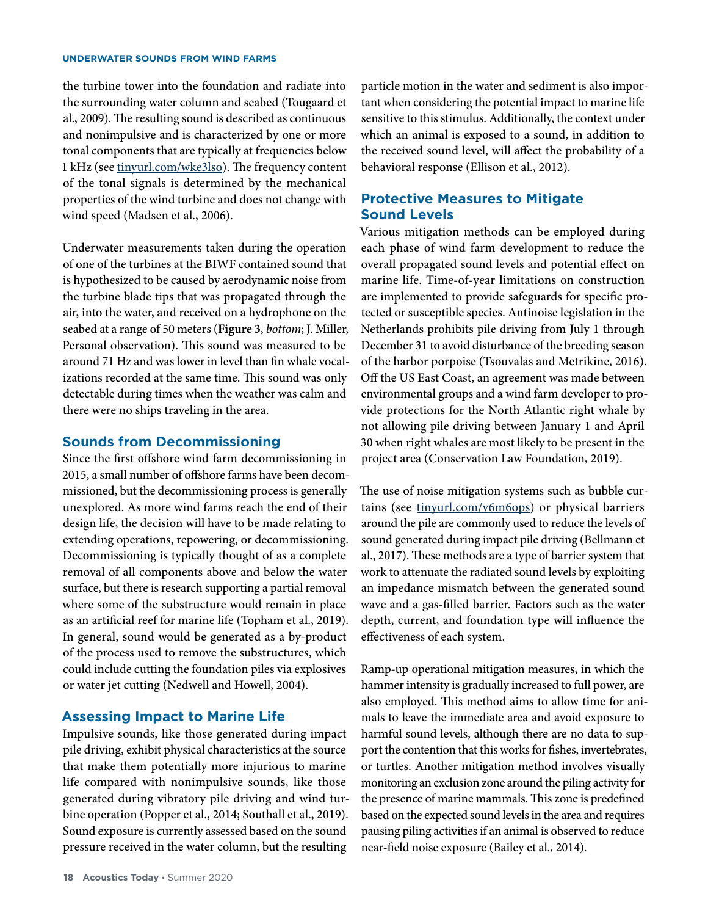the turbine tower into the foundation and radiate into the surrounding water column and seabed (Tougaard et al., 2009). The resulting sound is described as continuous and nonimpulsive and is characterized by one or more tonal components that are typically at frequencies below 1 kHz (see [tinyurl.com/wke3lso](http://tinyurl.com/wke3lso)). The frequency content of the tonal signals is determined by the mechanical properties of the wind turbine and does not change with wind speed (Madsen et al., 2006).

Underwater measurements taken during the operation of one of the turbines at the BIWF contained sound that is hypothesized to be caused by aerodynamic noise from the turbine blade tips that was propagated through the air, into the water, and received on a hydrophone on the seabed at a range of 50 meters (**Figure 3**, *bottom*; J. Miller, Personal observation). This sound was measured to be around 71 Hz and was lower in level than fin whale vocalizations recorded at the same time. This sound was only detectable during times when the weather was calm and there were no ships traveling in the area.

## **Sounds from Decommissioning**

Since the first offshore wind farm decommissioning in 2015, a small number of offshore farms have been decommissioned, but the decommissioning process is generally unexplored. As more wind farms reach the end of their design life, the decision will have to be made relating to extending operations, repowering, or decommissioning. Decommissioning is typically thought of as a complete removal of all components above and below the water surface, but there is research supporting a partial removal where some of the substructure would remain in place as an artificial reef for marine life (Topham et al., 2019). In general, sound would be generated as a by-product of the process used to remove the substructures, which could include cutting the foundation piles via explosives or water jet cutting (Nedwell and Howell, 2004).

### **Assessing Impact to Marine Life**

Impulsive sounds, like those generated during impact pile driving, exhibit physical characteristics at the source that make them potentially more injurious to marine life compared with nonimpulsive sounds, like those generated during vibratory pile driving and wind turbine operation (Popper et al., 2014; Southall et al., 2019). Sound exposure is currently assessed based on the sound pressure received in the water column, but the resulting

particle motion in the water and sediment is also important when considering the potential impact to marine life sensitive to this stimulus. Additionally, the context under which an animal is exposed to a sound, in addition to the received sound level, will affect the probability of a behavioral response (Ellison et al., 2012).

## **Protective Measures to Mitigate Sound Levels**

Various mitigation methods can be employed during each phase of wind farm development to reduce the overall propagated sound levels and potential effect on marine life. Time-of-year limitations on construction are implemented to provide safeguards for specific protected or susceptible species. Antinoise legislation in the Netherlands prohibits pile driving from July 1 through December 31 to avoid disturbance of the breeding season of the harbor porpoise (Tsouvalas and Metrikine, 2016). Off the US East Coast, an agreement was made between environmental groups and a wind farm developer to provide protections for the North Atlantic right whale by not allowing pile driving between January 1 and April 30 when right whales are most likely to be present in the project area (Conservation Law Foundation, 2019).

The use of noise mitigation systems such as bubble curtains (see [tinyurl.com/v6m6ops\)](http://tinyurl.com/v6m6ops) or physical barriers around the pile are commonly used to reduce the levels of sound generated during impact pile driving (Bellmann et al., 2017). These methods are a type of barrier system that work to attenuate the radiated sound levels by exploiting an impedance mismatch between the generated sound wave and a gas-filled barrier. Factors such as the water depth, current, and foundation type will influence the effectiveness of each system.

Ramp-up operational mitigation measures, in which the hammer intensity is gradually increased to full power, are also employed. This method aims to allow time for animals to leave the immediate area and avoid exposure to harmful sound levels, although there are no data to support the contention that this works for fishes, invertebrates, or turtles. Another mitigation method involves visually monitoring an exclusion zone around the piling activity for the presence of marine mammals. This zone is predefined based on the expected sound levels in the area and requires pausing piling activities if an animal is observed to reduce near-field noise exposure (Bailey et al., 2014).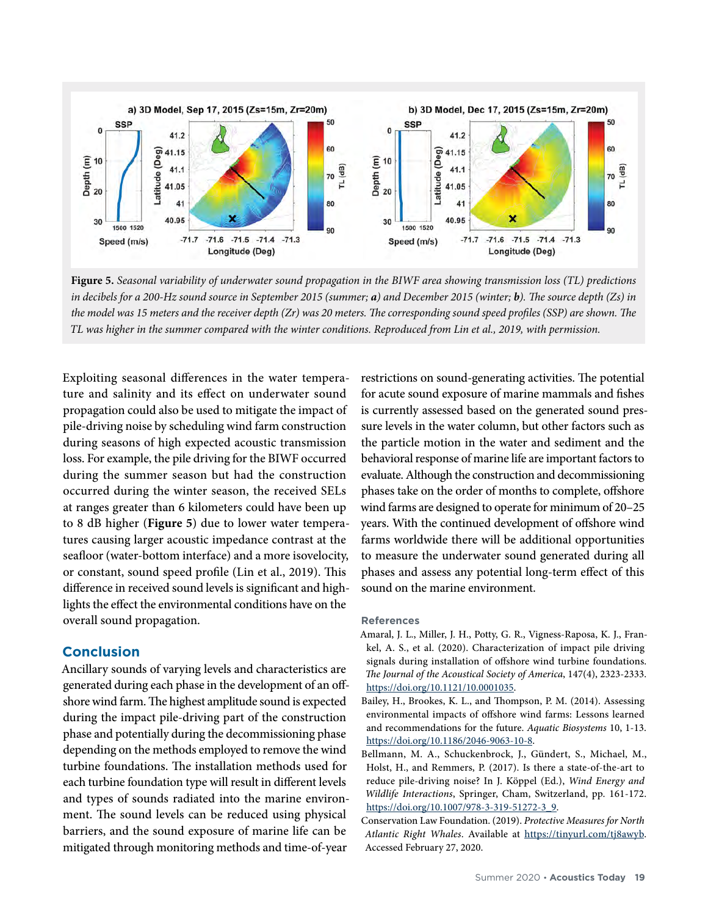

**Figure 5.** *Seasonal variability of underwater sound propagation in the BIWF area showing transmission loss (TL) predictions in decibels for a 200-Hz sound source in September 2015 (summer; a) and December 2015 (winter; b). The source depth (Zs) in the model was 15 meters and the receiver depth (Zr) was 20 meters. The corresponding sound speed profiles (SSP) are shown. The TL was higher in the summer compared with the winter conditions. Reproduced from Lin et al., 2019, with permission.* 

Exploiting seasonal differences in the water temperature and salinity and its effect on underwater sound propagation could also be used to mitigate the impact of pile-driving noise by scheduling wind farm construction during seasons of high expected acoustic transmission loss. For example, the pile driving for the BIWF occurred during the summer season but had the construction occurred during the winter season, the received SELs at ranges greater than 6 kilometers could have been up to 8 dB higher (**Figure 5**) due to lower water temperatures causing larger acoustic impedance contrast at the seafloor (water-bottom interface) and a more isovelocity, or constant, sound speed profile (Lin et al., 2019). This difference in received sound levels is significant and highlights the effect the environmental conditions have on the overall sound propagation.

## **Conclusion**

Ancillary sounds of varying levels and characteristics are generated during each phase in the development of an offshore wind farm. The highest amplitude sound is expected during the impact pile-driving part of the construction phase and potentially during the decommissioning phase depending on the methods employed to remove the wind turbine foundations. The installation methods used for each turbine foundation type will result in different levels and types of sounds radiated into the marine environment. The sound levels can be reduced using physical barriers, and the sound exposure of marine life can be mitigated through monitoring methods and time-of-year

restrictions on sound-generating activities. The potential for acute sound exposure of marine mammals and fishes is currently assessed based on the generated sound pressure levels in the water column, but other factors such as the particle motion in the water and sediment and the behavioral response of marine life are important factors to evaluate. Although the construction and decommissioning phases take on the order of months to complete, offshore wind farms are designed to operate for minimum of 20–25 years. With the continued development of offshore wind farms worldwide there will be additional opportunities to measure the underwater sound generated during all phases and assess any potential long-term effect of this sound on the marine environment.

#### **References**

- Amaral, J. L., Miller, J. H., Potty, G. R., Vigness-Raposa, K. J., Frankel, A. S., et al. (2020). Characterization of impact pile driving signals during installation of offshore wind turbine foundations. *The Journal of the Acoustical Society of America*, 147(4), 2323-2333. <https://doi.org/10.1121/10.0001035>.
- Bailey, H., Brookes, K. L., and Thompson, P. M. (2014). Assessing environmental impacts of offshore wind farms: Lessons learned and recommendations for the future. *Aquatic Biosystems* 10, 1-13. [https://doi.org/10.1186/2046-9063-10-8.](https://doi.org/10.1186/2046-9063-10-8)
- Bellmann, M. A., Schuckenbrock, J., Gündert, S., Michael, M., Holst, H., and Remmers, P. (2017). Is there a state-of-the-art to reduce pile-driving noise? In J. Köppel (Ed.), *Wind Energy and Wildlife Interactions*, Springer, Cham, Switzerland, pp. 161-172. [https://doi.org/10.1007/978-3-319-51272-3\\_9](https://doi.org/10.1007/978-3-319-51272-3_9).
- Conservation Law Foundation. (2019). *Protective Measures for North Atlantic Right Whales*. Available at <https://tinyurl.com/tj8awyb>. Accessed February 27, 2020.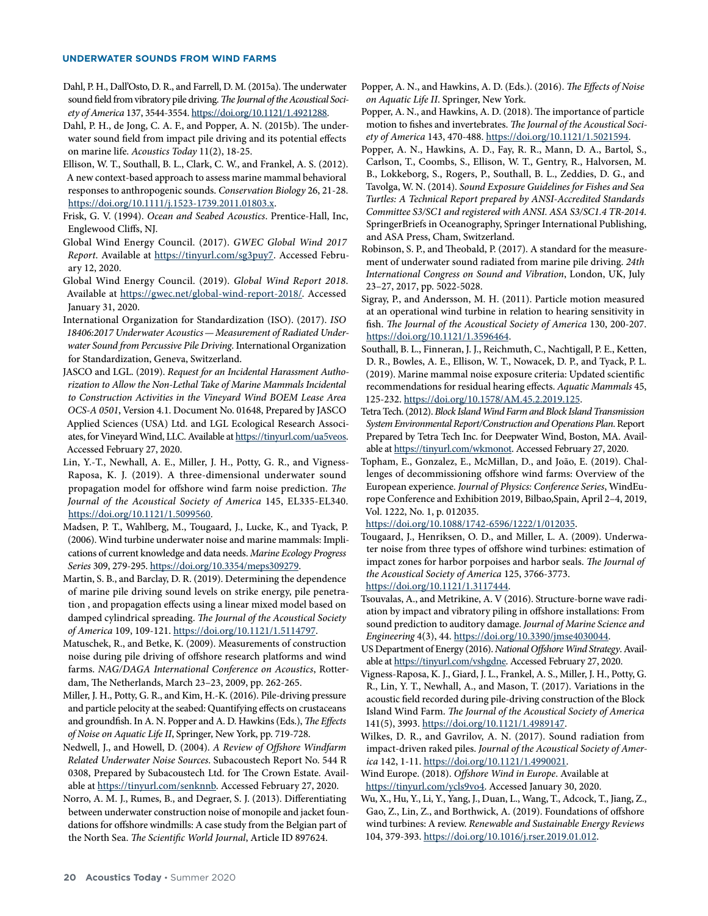- Dahl, P. H., Dall'Osto, D. R., and Farrell, D. M. (2015a). The underwater sound field from vibratory pile driving. *The Journal of the Acoustical Society of America* 137, 3544-3554. [https://doi.org/10.1121/1.4921288.](https://doi.org/10.1121/1.4921288)
- Dahl, P. H., de Jong, C. A. F., and Popper, A. N. (2015b). The underwater sound field from impact pile driving and its potential effects on marine life. *Acoustics Today* 11(2), 18-25.
- Ellison, W. T., Southall, B. L., Clark, C. W., and Frankel, A. S. (2012). A new context-based approach to assess marine mammal behavioral responses to anthropogenic sounds. *Conservation Biology* 26, 21-28. <https://doi.org/10.1111/j.1523-1739.2011.01803.x>.
- Frisk, G. V. (1994). *Ocean and Seabed Acoustics*. Prentice-Hall, Inc, Englewood Cliffs, NJ.
- Global Wind Energy Council. (2017). *GWEC Global Wind 2017 Report*. Available at [https://tinyurl.com/sg3puy7.](https://tinyurl.com/sg3puy7) Accessed February 12, 2020.
- Global Wind Energy Council. (2019). *Global Wind Report 2018*. Available at <https://gwec.net/global-wind-report-2018/>. Accessed January 31, 2020.
- International Organization for Standardization (ISO). (2017). *ISO 18406:2017 Underwater Acoustics—Measurement of Radiated Underwater Sound from Percussive Pile Driving*. International Organization for Standardization, Geneva, Switzerland.
- JASCO and LGL. (2019). *Request for an Incidental Harassment Authorization to Allow the Non‐Lethal Take of Marine Mammals Incidental to Construction Activities in the Vineyard Wind BOEM Lease Area OCS‐A 0501*, Version 4.1. Document No. 01648, Prepared by JASCO Applied Sciences (USA) Ltd. and LGL Ecological Research Associates, for Vineyard Wind, LLC. Available at <https://tinyurl.com/ua5veos>. Accessed February 27, 2020.
- Lin, Y.-T., Newhall, A. E., Miller, J. H., Potty, G. R., and Vigness-Raposa, K. J. (2019). A three-dimensional underwater sound propagation model for offshore wind farm noise prediction. *The Journal of the Acoustical Society of America* 145, EL335-EL340. <https://doi.org/10.1121/1.5099560>.
- Madsen, P. T., Wahlberg, M., Tougaard, J., Lucke, K., and Tyack, P. (2006). Wind turbine underwater noise and marine mammals: Implications of current knowledge and data needs. *Marine Ecology Progress Series* 309, 279-295. <https://doi.org/10.3354/meps309279>.
- Martin, S. B., and Barclay, D. R. (2019). Determining the dependence of marine pile driving sound levels on strike energy, pile penetration , and propagation effects using a linear mixed model based on damped cylindrical spreading. *The Journal of the Acoustical Society of America* 109, 109-121.<https://doi.org/10.1121/1.5114797>.
- Matuschek, R., and Betke, K. (2009). Measurements of construction noise during pile driving of offshore research platforms and wind farms. *NAG/DAGA International Conference on Acoustics*, Rotterdam, The Netherlands, March 23–23, 2009, pp. 262-265.
- Miller, J. H., Potty, G. R., and Kim, H.-K. (2016). Pile-driving pressure and particle pelocity at the seabed: Quantifying effects on crustaceans and groundfish. In A. N. Popper and A. D. Hawkins (Eds.), *The Effects of Noise on Aquatic Life II*, Springer, New York, pp. 719-728.
- Nedwell, J., and Howell, D. (2004). *A Review of Offshore Windfarm Related Underwater Noise Sources*. Subacoustech Report No. 544 R 0308, Prepared by Subacoustech Ltd. for The Crown Estate. Available at [https://tinyurl.com/senknnb.](https://tinyurl.com/senknnb) Accessed February 27, 2020.
- Norro, A. M. J., Rumes, B., and Degraer, S. J. (2013). Differentiating between underwater construction noise of monopile and jacket foundations for offshore windmills: A case study from the Belgian part of the North Sea. *The Scientific World Journal*, Article ID 897624.

Popper, A. N., and Hawkins, A. D. (Eds.). (2016). *The Effects of Noise on Aquatic Life II*. Springer, New York.

Popper, A. N., and Hawkins, A. D. (2018). The importance of particle motion to fishes and invertebrates. *The Journal of the Acoustical Society of America* 143, 470-488. [https://doi.org/10.1121/1.5021594.](https://doi.org/10.1121/1.5021594)

Popper, A. N., Hawkins, A. D., Fay, R. R., Mann, D. A., Bartol, S., Carlson, T., Coombs, S., Ellison, W. T., Gentry, R., Halvorsen, M. B., Lokkeborg, S., Rogers, P., Southall, B. L., Zeddies, D. G., and Tavolga, W. N. (2014). *Sound Exposure Guidelines for Fishes and Sea Turtles: A Technical Report prepared by ANSI-Accredited Standards Committee S3/SC1 and registered with ANSI. ASA S3/SC1.4 TR-2014*. SpringerBriefs in Oceanography, Springer International Publishing, and ASA Press, Cham, Switzerland.

Robinson, S. P., and Theobald, P. (2017). A standard for the measurement of underwater sound radiated from marine pile driving. *24th International Congress on Sound and Vibration*, London, UK, July 23–27, 2017, pp. 5022-5028.

- Sigray, P., and Andersson, M. H. (2011). Particle motion measured at an operational wind turbine in relation to hearing sensitivity in fish. *The Journal of the Acoustical Society of America* 130, 200-207. <https://doi.org/10.1121/1.3596464>.
- Southall, B. L., Finneran, J. J., Reichmuth, C., Nachtigall, P. E., Ketten, D. R., Bowles, A. E., Ellison, W. T., Nowacek, D. P., and Tyack, P. L. (2019). Marine mammal noise exposure criteria: Updated scientific recommendations for residual hearing effects. *Aquatic Mammals* 45, 125-232. [https://doi.org/10.1578/AM.45.2.2019.125.](https://doi.org/10.1578/AM.45.2.2019.125)
- Tetra Tech. (2012). *Block Island Wind Farm and Block Island Transmission System Environmental Report/Construction and Operations Plan*. Report Prepared by Tetra Tech Inc. for Deepwater Wind, Boston, MA. Available at [https://tinyurl.com/wkmonot.](https://tinyurl.com/wkmonot) Accessed February 27, 2020.
- Topham, E., Gonzalez, E., McMillan, D., and João, E. (2019). Challenges of decommissioning offshore wind farms: Overview of the European experience. *Journal of Physics: Conference Series*, WindEurope Conference and Exhibition 2019, Bilbao,Spain, April 2–4, 2019, Vol. 1222, No. 1, p. 012035.

<https://doi.org/10.1088/1742-6596/1222/1/012035>.

- Tougaard, J., Henriksen, O. D., and Miller, L. A. (2009). Underwater noise from three types of offshore wind turbines: estimation of impact zones for harbor porpoises and harbor seals. *The Journal of the Acoustical Society of America* 125, 3766-3773. [https://doi.org/10.1121/1.3117444.](https://doi.org/10.1121/1.3117444)
- Tsouvalas, A., and Metrikine, A. V (2016). Structure-borne wave radiation by impact and vibratory piling in offshore installations: From sound prediction to auditory damage. *Journal of Marine Science and Engineering* 4(3), 44. <https://doi.org/10.3390/jmse4030044>.
- US Department of Energy (2016). *National Offshore Wind Strategy*. Available at [https://tinyurl.com/vshgdne.](https://tinyurl.com/vshgdne) Accessed February 27, 2020.
- Vigness-Raposa, K. J., Giard, J. L., Frankel, A. S., Miller, J. H., Potty, G. R., Lin, Y. T., Newhall, A., and Mason, T. (2017). Variations in the acoustic field recorded during pile-driving construction of the Block Island Wind Farm. *The Journal of the Acoustical Society of America*  141(5), 3993.<https://doi.org/10.1121/1.4989147>.
- Wilkes, D. R., and Gavrilov, A. N. (2017). Sound radiation from impact-driven raked piles. *Journal of the Acoustical Society of America* 142, 1-11. [https://doi.org/10.1121/1.4990021.](https://doi.org/10.1121/1.4990021)
- Wind Europe. (2018). *Offshore Wind in Europe*. Available at <https://tinyurl.com/ycls9vo4>. Accessed January 30, 2020.
- Wu, X., Hu, Y., Li, Y., Yang, J., Duan, L., Wang, T., Adcock, T., Jiang, Z., Gao, Z., Lin, Z., and Borthwick, A. (2019). Foundations of offshore wind turbines: A review. *Renewable and Sustainable Energy Reviews*  104, 379-393. <https://doi.org/10.1016/j.rser.2019.01.012>.